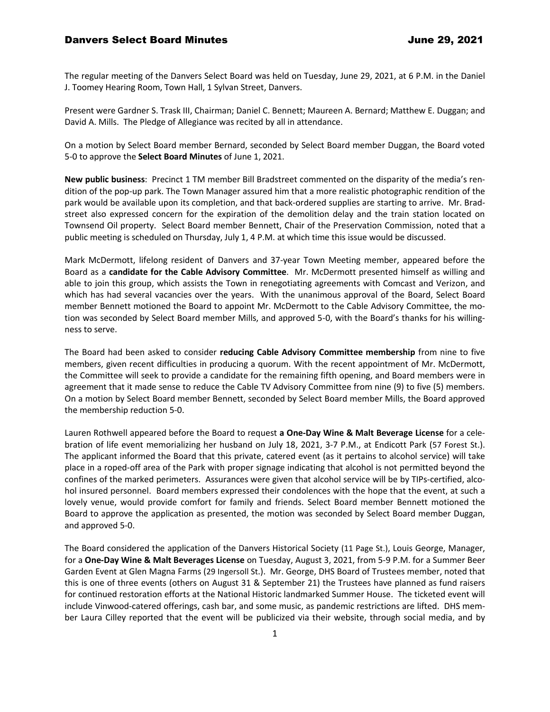The regular meeting of the Danvers Select Board was held on Tuesday, June 29, 2021, at 6 P.M. in the Daniel J. Toomey Hearing Room, Town Hall, 1 Sylvan Street, Danvers.

Present were Gardner S. Trask III, Chairman; Daniel C. Bennett; Maureen A. Bernard; Matthew E. Duggan; and David A. Mills. The Pledge of Allegiance was recited by all in attendance.

On a motion by Select Board member Bernard, seconded by Select Board member Duggan, the Board voted 5-0 to approve the **Select Board Minutes** of June 1, 2021.

**New public business**: Precinct 1 TM member Bill Bradstreet commented on the disparity of the media's rendition of the pop-up park. The Town Manager assured him that a more realistic photographic rendition of the park would be available upon its completion, and that back-ordered supplies are starting to arrive. Mr. Bradstreet also expressed concern for the expiration of the demolition delay and the train station located on Townsend Oil property. Select Board member Bennett, Chair of the Preservation Commission, noted that a public meeting is scheduled on Thursday, July 1, 4 P.M. at which time this issue would be discussed.

Mark McDermott, lifelong resident of Danvers and 37-year Town Meeting member, appeared before the Board as a **candidate for the Cable Advisory Committee**. Mr. McDermott presented himself as willing and able to join this group, which assists the Town in renegotiating agreements with Comcast and Verizon, and which has had several vacancies over the years. With the unanimous approval of the Board, Select Board member Bennett motioned the Board to appoint Mr. McDermott to the Cable Advisory Committee, the motion was seconded by Select Board member Mills, and approved 5-0, with the Board's thanks for his willingness to serve.

The Board had been asked to consider **reducing Cable Advisory Committee membership** from nine to five members, given recent difficulties in producing a quorum. With the recent appointment of Mr. McDermott, the Committee will seek to provide a candidate for the remaining fifth opening, and Board members were in agreement that it made sense to reduce the Cable TV Advisory Committee from nine (9) to five (5) members. On a motion by Select Board member Bennett, seconded by Select Board member Mills, the Board approved the membership reduction 5-0.

Lauren Rothwell appeared before the Board to request **a One-Day Wine & Malt Beverage License** for a celebration of life event memorializing her husband on July 18, 2021, 3-7 P.M., at Endicott Park (57 Forest St.). The applicant informed the Board that this private, catered event (as it pertains to alcohol service) will take place in a roped-off area of the Park with proper signage indicating that alcohol is not permitted beyond the confines of the marked perimeters. Assurances were given that alcohol service will be by TIPs-certified, alcohol insured personnel. Board members expressed their condolences with the hope that the event, at such a lovely venue, would provide comfort for family and friends. Select Board member Bennett motioned the Board to approve the application as presented, the motion was seconded by Select Board member Duggan, and approved 5-0.

The Board considered the application of the Danvers Historical Society (11 Page St.), Louis George, Manager, for a **One-Day Wine & Malt Beverages License** on Tuesday, August 3, 2021, from 5-9 P.M. for a Summer Beer Garden Event at Glen Magna Farms (29 Ingersoll St.). Mr. George, DHS Board of Trustees member, noted that this is one of three events (others on August 31 & September 21) the Trustees have planned as fund raisers for continued restoration efforts at the National Historic landmarked Summer House. The ticketed event will include Vinwood-catered offerings, cash bar, and some music, as pandemic restrictions are lifted. DHS member Laura Cilley reported that the event will be publicized via their website, through social media, and by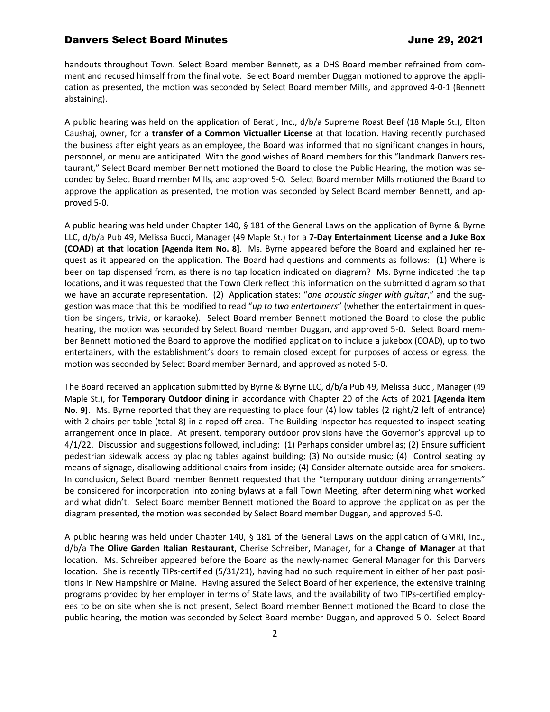handouts throughout Town. Select Board member Bennett, as a DHS Board member refrained from comment and recused himself from the final vote. Select Board member Duggan motioned to approve the application as presented, the motion was seconded by Select Board member Mills, and approved 4-0-1 (Bennett abstaining).

A public hearing was held on the application of Berati, Inc., d/b/a Supreme Roast Beef (18 Maple St.), Elton Caushaj, owner, for a **transfer of a Common Victualler License** at that location. Having recently purchased the business after eight years as an employee, the Board was informed that no significant changes in hours, personnel, or menu are anticipated. With the good wishes of Board members for this "landmark Danvers restaurant," Select Board member Bennett motioned the Board to close the Public Hearing, the motion was seconded by Select Board member Mills, and approved 5-0. Select Board member Mills motioned the Board to approve the application as presented, the motion was seconded by Select Board member Bennett, and approved 5-0.

A public hearing was held under Chapter 140, § 181 of the General Laws on the application of Byrne & Byrne LLC, d/b/a Pub 49, Melissa Bucci, Manager (49 Maple St.) for a **7-Day Entertainment License and a Juke Box (COAD) at that location [Agenda item No. 8]**. Ms. Byrne appeared before the Board and explained her request as it appeared on the application. The Board had questions and comments as follows: (1) Where is beer on tap dispensed from, as there is no tap location indicated on diagram? Ms. Byrne indicated the tap locations, and it was requested that the Town Clerk reflect this information on the submitted diagram so that we have an accurate representation. (2) Application states: "*one acoustic singer with guitar*," and the suggestion was made that this be modified to read "*up to two entertainers*" (whether the entertainment in question be singers, trivia, or karaoke). Select Board member Bennett motioned the Board to close the public hearing, the motion was seconded by Select Board member Duggan, and approved 5-0. Select Board member Bennett motioned the Board to approve the modified application to include a jukebox (COAD), up to two entertainers, with the establishment's doors to remain closed except for purposes of access or egress, the motion was seconded by Select Board member Bernard, and approved as noted 5-0.

The Board received an application submitted by Byrne & Byrne LLC, d/b/a Pub 49, Melissa Bucci, Manager (49 Maple St.), for **Temporary Outdoor dining** in accordance with Chapter 20 of the Acts of 2021 **[Agenda item No. 9]**. Ms. Byrne reported that they are requesting to place four (4) low tables (2 right/2 left of entrance) with 2 chairs per table (total 8) in a roped off area. The Building Inspector has requested to inspect seating arrangement once in place. At present, temporary outdoor provisions have the Governor's approval up to 4/1/22. Discussion and suggestions followed, including: (1) Perhaps consider umbrellas; (2) Ensure sufficient pedestrian sidewalk access by placing tables against building; (3) No outside music; (4) Control seating by means of signage, disallowing additional chairs from inside; (4) Consider alternate outside area for smokers. In conclusion, Select Board member Bennett requested that the "temporary outdoor dining arrangements" be considered for incorporation into zoning bylaws at a fall Town Meeting, after determining what worked and what didn't. Select Board member Bennett motioned the Board to approve the application as per the diagram presented, the motion was seconded by Select Board member Duggan, and approved 5-0.

A public hearing was held under Chapter 140, § 181 of the General Laws on the application of GMRI, Inc., d/b/a **The Olive Garden Italian Restaurant**, Cherise Schreiber, Manager, for a **Change of Manager** at that location. Ms. Schreiber appeared before the Board as the newly-named General Manager for this Danvers location. She is recently TIPs-certified (5/31/21), having had no such requirement in either of her past positions in New Hampshire or Maine. Having assured the Select Board of her experience, the extensive training programs provided by her employer in terms of State laws, and the availability of two TIPs-certified employees to be on site when she is not present, Select Board member Bennett motioned the Board to close the public hearing, the motion was seconded by Select Board member Duggan, and approved 5-0. Select Board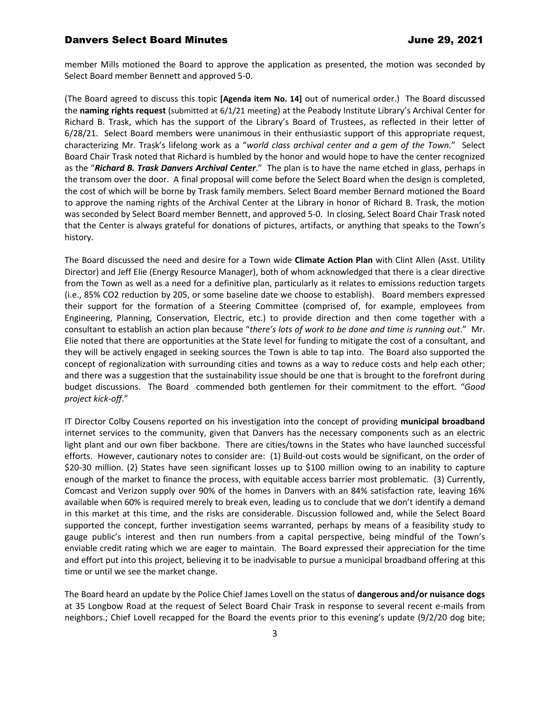member Mills motioned the Board to approve the application as presented, the motion was seconded by Select Board member Bennett and approved 5-0.

(The Board agreed to discuss this topic **[Agenda item No. 14]** out of numerical order.) The Board discussed the **naming rights request** (submitted at 6/1/21 meeting) at the Peabody Institute Library's Archival Center for Richard B. Trask, which has the support of the Library's Board of Trustees, as reflected in their letter of 6/28/21. Select Board members were unanimous in their enthusiastic support of this appropriate request, characterizing Mr. Trask's lifelong work as a "*world class archival center and a gem of the Town.*" Select Board Chair Trask noted that Richard is humbled by the honor and would hope to have the center recognized as the "*Richard B. Trask Danvers Archival Center*." The plan is to have the name etched in glass, perhaps in the transom over the door. A final proposal will come before the Select Board when the design is completed, the cost of which will be borne by Trask family members. Select Board member Bernard motioned the Board to approve the naming rights of the Archival Center at the Library in honor of Richard B. Trask, the motion was seconded by Select Board member Bennett, and approved 5-0. In closing, Select Board Chair Trask noted that the Center is always grateful for donations of pictures, artifacts, or anything that speaks to the Town's history.

The Board discussed the need and desire for a Town wide **Climate Action Plan** with Clint Allen (Asst. Utility Director) and Jeff Elie (Energy Resource Manager), both of whom acknowledged that there is a clear directive from the Town as well as a need for a definitive plan, particularly as it relates to emissions reduction targets (i.e., 85% CO2 reduction by 205, or some baseline date we choose to establish). Board members expressed their support for the formation of a Steering Committee (comprised of, for example, employees from Engineering, Planning, Conservation, Electric, etc.) to provide direction and then come together with a consultant to establish an action plan because "*there's lots of work to be done and time is running out*." Mr. Elie noted that there are opportunities at the State level for funding to mitigate the cost of a consultant, and they will be actively engaged in seeking sources the Town is able to tap into. The Board also supported the concept of regionalization with surrounding cities and towns as a way to reduce costs and help each other; and there was a suggestion that the sustainability issue should be one that is brought to the forefront during budget discussions. The Board commended both gentlemen for their commitment to the effort. "*Good project kick-off*."

IT Director Colby Cousens reported on his investigation into the concept of providing **municipal broadband** internet services to the community, given that Danvers has the necessary components such as an electric light plant and our own fiber backbone. There are cities/towns in the States who have launched successful efforts. However, cautionary notes to consider are: (1) Build-out costs would be significant, on the order of \$20-30 million. (2) States have seen significant losses up to \$100 million owing to an inability to capture enough of the market to finance the process, with equitable access barrier most problematic. (3) Currently, Comcast and Verizon supply over 90% of the homes in Danvers with an 84% satisfaction rate, leaving 16% available when 60% is required merely to break even, leading us to conclude that we don't identify a demand in this market at this time, and the risks are considerable. Discussion followed and, while the Select Board supported the concept, further investigation seems warranted, perhaps by means of a feasibility study to gauge public's interest and then run numbers from a capital perspective, being mindful of the Town's enviable credit rating which we are eager to maintain. The Board expressed their appreciation for the time and effort put into this project, believing it to be inadvisable to pursue a municipal broadband offering at this time or until we see the market change.

The Board heard an update by the Police Chief James Lovell on the status of **dangerous and/or nuisance dogs** at 35 Longbow Road at the request of Select Board Chair Trask in response to several recent e-mails from neighbors.; Chief Lovell recapped for the Board the events prior to this evening's update (9/2/20 dog bite;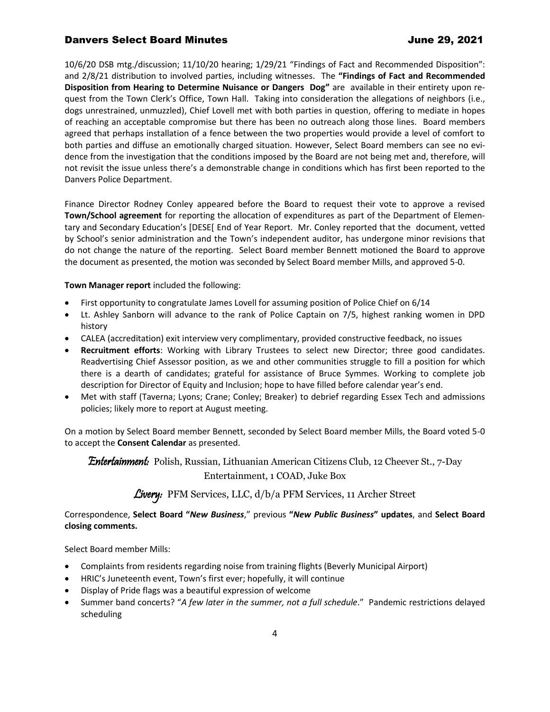10/6/20 DSB mtg./discussion; 11/10/20 hearing; 1/29/21 "Findings of Fact and Recommended Disposition": and 2/8/21 distribution to involved parties, including witnesses. The **"Findings of Fact and Recommended Disposition from Hearing to Determine Nuisance or Dangers Dog"** are available in their entirety upon request from the Town Clerk's Office, Town Hall. Taking into consideration the allegations of neighbors (i.e., dogs unrestrained, unmuzzled), Chief Lovell met with both parties in question, offering to mediate in hopes of reaching an acceptable compromise but there has been no outreach along those lines. Board members agreed that perhaps installation of a fence between the two properties would provide a level of comfort to both parties and diffuse an emotionally charged situation. However, Select Board members can see no evidence from the investigation that the conditions imposed by the Board are not being met and, therefore, will not revisit the issue unless there's a demonstrable change in conditions which has first been reported to the Danvers Police Department.

Finance Director Rodney Conley appeared before the Board to request their vote to approve a revised **Town/School agreement** for reporting the allocation of expenditures as part of the Department of Elementary and Secondary Education's [DESE[ End of Year Report. Mr. Conley reported that the document, vetted by School's senior administration and the Town's independent auditor, has undergone minor revisions that do not change the nature of the reporting. Select Board member Bennett motioned the Board to approve the document as presented, the motion was seconded by Select Board member Mills, and approved 5-0.

**Town Manager report** included the following:

- First opportunity to congratulate James Lovell for assuming position of Police Chief on 6/14
- Lt. Ashley Sanborn will advance to the rank of Police Captain on 7/5, highest ranking women in DPD history
- CALEA (accreditation) exit interview very complimentary, provided constructive feedback, no issues
- **Recruitment efforts**: Working with Library Trustees to select new Director; three good candidates. Readvertising Chief Assessor position, as we and other communities struggle to fill a position for which there is a dearth of candidates; grateful for assistance of Bruce Symmes. Working to complete job description for Director of Equity and Inclusion; hope to have filled before calendar year's end.
- Met with staff (Taverna; Lyons; Crane; Conley; Breaker) to debrief regarding Essex Tech and admissions policies; likely more to report at August meeting.

On a motion by Select Board member Bennett, seconded by Select Board member Mills, the Board voted 5-0 to accept the **Consent Calendar** as presented.

**Entertainment:** Polish, Russian, Lithuanian American Citizens Club, 12 Cheever St., 7-Day Entertainment, 1 COAD, Juke Box

*Livery:* PFM Services, LLC,  $d/b/a$  PFM Services, 11 Archer Street

### Correspondence, **Select Board "***New Business*," previous **"***New Public Business***" updates**, and **Select Board closing comments.**

Select Board member Mills:

- Complaints from residents regarding noise from training flights (Beverly Municipal Airport)
- HRIC's Juneteenth event, Town's first ever; hopefully, it will continue
- Display of Pride flags was a beautiful expression of welcome
- Summer band concerts? "*A few later in the summer, not a full schedule*." Pandemic restrictions delayed scheduling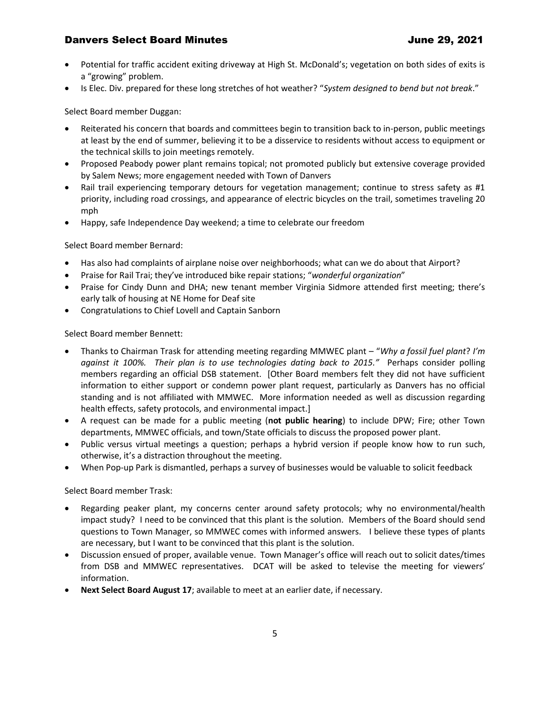- Potential for traffic accident exiting driveway at High St. McDonald's; vegetation on both sides of exits is a "growing" problem.
- Is Elec. Div. prepared for these long stretches of hot weather? "*System designed to bend but not break*."

Select Board member Duggan:

- Reiterated his concern that boards and committees begin to transition back to in-person, public meetings at least by the end of summer, believing it to be a disservice to residents without access to equipment or the technical skills to join meetings remotely.
- Proposed Peabody power plant remains topical; not promoted publicly but extensive coverage provided by Salem News; more engagement needed with Town of Danvers
- Rail trail experiencing temporary detours for vegetation management; continue to stress safety as #1 priority, including road crossings, and appearance of electric bicycles on the trail, sometimes traveling 20 mph
- Happy, safe Independence Day weekend; a time to celebrate our freedom

Select Board member Bernard:

- Has also had complaints of airplane noise over neighborhoods; what can we do about that Airport?
- Praise for Rail Trai; they've introduced bike repair stations; "*wonderful organization*"
- Praise for Cindy Dunn and DHA; new tenant member Virginia Sidmore attended first meeting; there's early talk of housing at NE Home for Deaf site
- Congratulations to Chief Lovell and Captain Sanborn

Select Board member Bennett:

- Thanks to Chairman Trask for attending meeting regarding MMWEC plant "*Why a fossil fuel plant*? *I'm against it 100%. Their plan is to use technologies dating back to 2015."* Perhaps consider polling members regarding an official DSB statement. [Other Board members felt they did not have sufficient information to either support or condemn power plant request, particularly as Danvers has no official standing and is not affiliated with MMWEC. More information needed as well as discussion regarding health effects, safety protocols, and environmental impact.]
- A request can be made for a public meeting (**not public hearing**) to include DPW; Fire; other Town departments, MMWEC officials, and town/State officials to discuss the proposed power plant.
- Public versus virtual meetings a question; perhaps a hybrid version if people know how to run such, otherwise, it's a distraction throughout the meeting.
- When Pop-up Park is dismantled, perhaps a survey of businesses would be valuable to solicit feedback

Select Board member Trask:

- Regarding peaker plant, my concerns center around safety protocols; why no environmental/health impact study? I need to be convinced that this plant is the solution. Members of the Board should send questions to Town Manager, so MMWEC comes with informed answers. I believe these types of plants are necessary, but I want to be convinced that this plant is the solution.
- Discussion ensued of proper, available venue. Town Manager's office will reach out to solicit dates/times from DSB and MMWEC representatives. DCAT will be asked to televise the meeting for viewers' information.
- **Next Select Board August 17; available to meet at an earlier date, if necessary.**